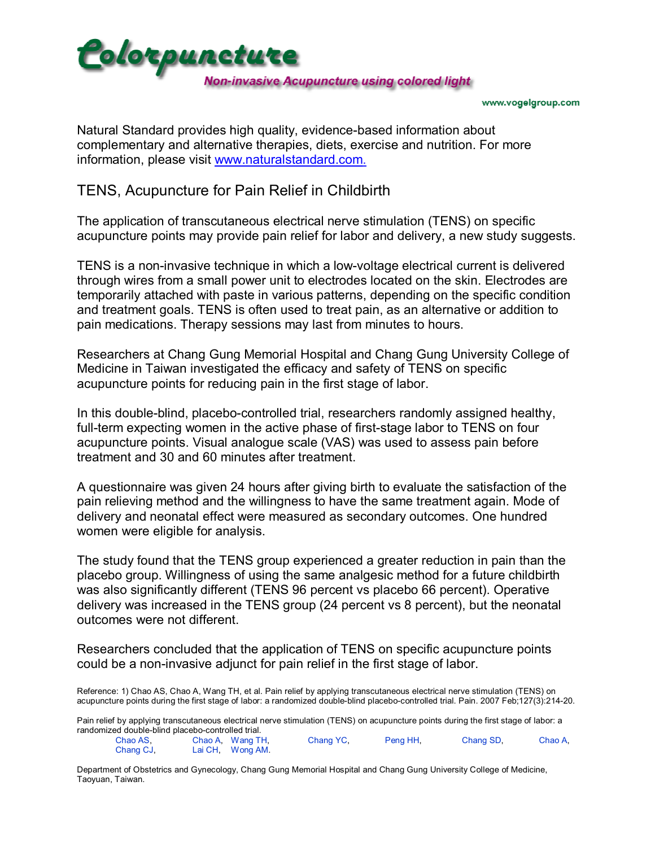

www.vogelgroup.com

Natural Standard provides high quality, evidence-based information about complementary and alternative therapies, diets, exercise and nutrition. For more information, please visit [www.naturalstandard.com.](http://www.naturalstandard.com/)

## TENS, Acupuncture for Pain Relief in Childbirth

The application of transcutaneous electrical nerve stimulation (TENS) on specific acupuncture points may provide pain relief for labor and delivery, a new study suggests.

TENS is a non-invasive technique in which a low-voltage electrical current is delivered through wires from a small power unit to electrodes located on the skin. Electrodes are temporarily attached with paste in various patterns, depending on the specific condition and treatment goals. TENS is often used to treat pain, as an alternative or addition to pain medications. Therapy sessions may last from minutes to hours.

Researchers at Chang Gung Memorial Hospital and Chang Gung University College of Medicine in Taiwan investigated the efficacy and safety of TENS on specific acupuncture points for reducing pain in the first stage of labor.

In this double-blind, placebo-controlled trial, researchers randomly assigned healthy, full-term expecting women in the active phase of first-stage labor to TENS on four acupuncture points. Visual analogue scale (VAS) was used to assess pain before treatment and 30 and 60 minutes after treatment.

A questionnaire was given 24 hours after giving birth to evaluate the satisfaction of the pain relieving method and the willingness to have the same treatment again. Mode of delivery and neonatal effect were measured as secondary outcomes. One hundred women were eligible for analysis.

The study found that the TENS group experienced a greater reduction in pain than the placebo group. Willingness of using the same analgesic method for a future childbirth was also significantly different (TENS 96 percent vs placebo 66 percent). Operative delivery was increased in the TENS group (24 percent vs 8 percent), but the neonatal outcomes were not different.

Researchers concluded that the application of TENS on specific acupuncture points could be a non-invasive adjunct for pain relief in the first stage of labor.

Reference: 1) Chao AS, Chao A, Wang TH, et al. Pain relief by applying transcutaneous electrical nerve stimulation (TENS) on acupuncture points during the first stage of labor: a randomized double-blind placebo-controlled trial. Pain. 2007 Feb;127(3):214-20.

Pain relief by applying transcutaneous electrical nerve stimulation (TENS) on acupuncture points during the first stage of labor: a randomized double-blind placebo-controlled trial.

Chao AS, Chao A, Wang TH, Chang YC, Peng HH, Chang SD, Chao A, Chang CJ, Lai CH, Wong AM.

Department of Obstetrics and Gynecology, Chang Gung Memorial Hospital and Chang Gung University College of Medicine, Taoyuan, Taiwan.